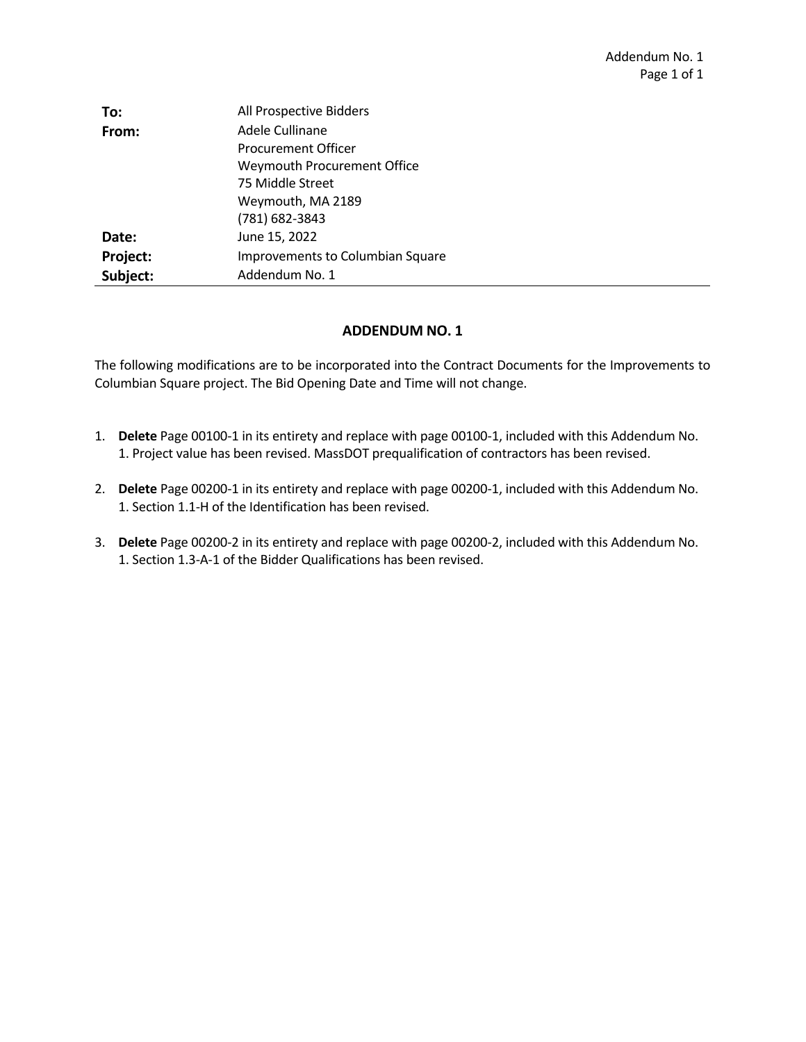| To:      | All Prospective Bidders                 |
|----------|-----------------------------------------|
| From:    | Adele Cullinane                         |
|          | <b>Procurement Officer</b>              |
|          | Weymouth Procurement Office             |
|          | 75 Middle Street                        |
|          | Weymouth, MA 2189                       |
|          | $(781)$ 682-3843                        |
| Date:    | June 15, 2022                           |
| Project: | <b>Improvements to Columbian Square</b> |
| Subject: | Addendum No. 1                          |

## **ADDENDUM NO. 1**

The following modifications are to be incorporated into the Contract Documents for the Improvements to Columbian Square project. The Bid Opening Date and Time will not change.

- 1. **Delete** Page 00100‐1 in its entirety and replace with page 00100‐1, included with this Addendum No. 1. Project value has been revised. MassDOT prequalification of contractors has been revised.
- 2. **Delete** Page 00200‐1 in its entirety and replace with page 00200‐1, included with this Addendum No. 1. Section 1.1‐H of the Identification has been revised.
- 3. **Delete** Page 00200‐2 in its entirety and replace with page 00200‐2, included with this Addendum No. 1. Section 1.3‐A‐1 of the Bidder Qualifications has been revised.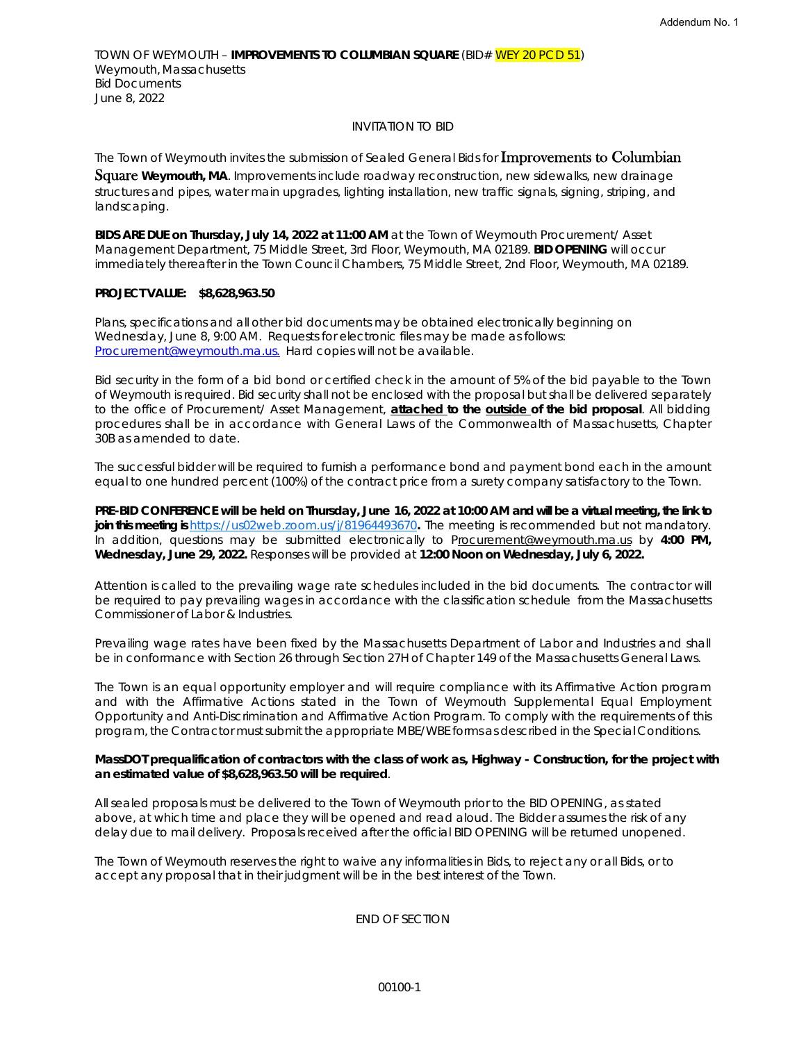TOWN OF WEYMOUTH – **IMPROVEMENTS TO COLUMBIAN SQUARE** (BID# WEY 20 PCD 51) Weymouth, Massachusetts Bid Documents June 8, 2022

# INVITATION TO BID

The Town of Weymouth invites the submission of Sealed General Bids for Improvements to Columbian

Square **Weymouth, MA**. Improvements include roadway reconstruction, new sidewalks, new drainage structures and pipes, water main upgrades, lighting installation, new traffic signals, signing, striping, and landscaping.

**BIDS ARE DUE on Thursday, July 14, 2022 at 11:00 AM** at the Town of Weymouth Procurement/ Asset Management Department, 75 Middle Street, 3rd Floor, Weymouth, MA 02189. **BID OPENING** will occur immediately thereafter in the Town Council Chambers, 75 Middle Street, 2nd Floor, Weymouth, MA 02189.

## **PROJECT VALUE: \$8,628,963.50**

Plans, specifications and all other bid documents may be obtained electronically beginning on Wednesday, June 8, 9:00 AM. Requests for electronic files may be made as follows: Procurement@weymouth.ma.us. Hard copies will not be available.

Bid security in the form of a bid bond or certified check in the amount of 5% of the bid payable to the Town of Weymouth is required. Bid security shall not be enclosed with the proposal but shall be delivered separately to the office of Procurement/ Asset Management, **attached to the outside of the bid proposal**. All bidding procedures shall be in accordance with General Laws of the Commonwealth of Massachusetts, Chapter 30B as amended to date.

The successful bidder will be required to furnish a performance bond and payment bond each in the amount equal to one hundred percent (100%) of the contract price from a surety company satisfactory to the Town.

**PRE-BID CONFERENCE will be held on Thursday, June 16, 2022 at 10:00 AM and will be a virtual meeting, the link to join this meeting is** https://us02web.zoom.us/j/81964493670**.** The meeting is recommended but not mandatory. In addition, questions may be submitted electronically to Procurement@weymouth.ma.us by 4:00 PM, **Wednesday, June 29, 2022.** Responses will be provided at **12:00 Noon on Wednesday, July 6, 2022.**

Attention is called to the prevailing wage rate schedules included in the bid documents. The contractor will be required to pay prevailing wages in accordance with the classification schedule from the Massachusetts Commissioner of Labor & Industries.

Prevailing wage rates have been fixed by the Massachusetts Department of Labor and Industries and shall be in conformance with Section 26 through Section 27H of Chapter 149 of the Massachusetts General Laws.

The Town is an equal opportunity employer and will require compliance with its Affirmative Action program and with the Affirmative Actions stated in the Town of Weymouth Supplemental Equal Employment Opportunity and Anti-Discrimination and Affirmative Action Program. To comply with the requirements of this program, the Contractor must submit the appropriate MBE/WBE forms as described in the Special Conditions.

#### **MassDOT prequalification of contractors with the class of work as, Highway - Construction, for the project with an estimated value of \$8,628,963.50 will be required**.

All sealed proposals must be delivered to the Town of Weymouth prior to the BID OPENING, as stated above, at which time and place they will be opened and read aloud. The Bidder assumes the risk of any delay due to mail delivery. Proposals received after the official BID OPENING will be returned unopened.

The Town of Weymouth reserves the right to waive any informalities in Bids, to reject any or all Bids, or to accept any proposal that in their judgment will be in the best interest of the Town.

END OF SECTION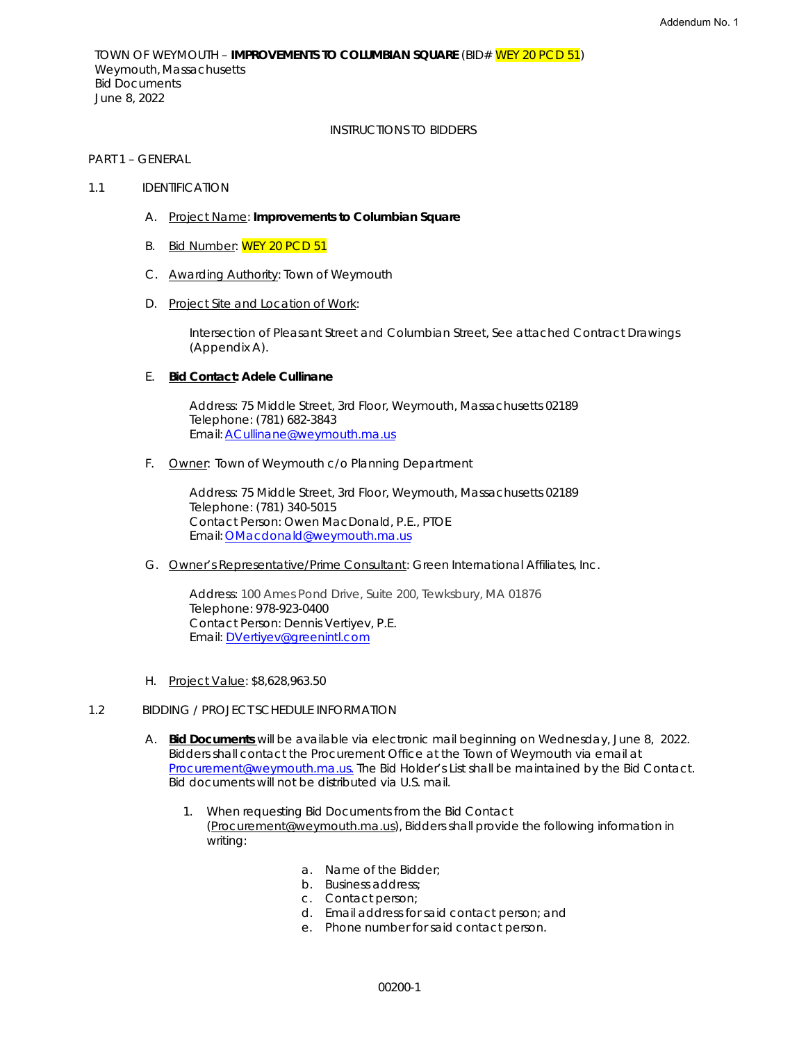TOWN OF WEYMOUTH – **IMPROVEMENTS TO COLUMBIAN SQUARE** (BID# WEY 20 PCD 51) Weymouth, Massachusetts Bid Documents June 8, 2022

### INSTRUCTIONS TO BIDDERS

## PART 1 – GENERAL

### 1.1 IDENTIFICATION

- A. Project Name: **Improvements to Columbian Square**
- B. Bid Number: WEY 20 PCD 51
- C. Awarding Authority: Town of Weymouth
- D. Project Site and Location of Work:

Intersection of Pleasant Street and Columbian Street, See attached Contract Drawings (Appendix A).

## E. **Bid Contact: Adele Cullinane**

Address: 75 Middle Street, 3rd Floor, Weymouth, Massachusetts 02189 Telephone: (781) 682-3843 Email: ACullinane@weymouth.ma.us

F. Owner: Town of Weymouth c/o Planning Department

Address: 75 Middle Street, 3rd Floor, Weymouth, Massachusetts 02189 Telephone: (781) 340-5015 Contact Person: Owen MacDonald, P.E., PTOE Email: OMacdonald@weymouth.ma.us

G. Owner's Representative/Prime Consultant: Green International Affiliates, Inc.

Address: 100 Ames Pond Drive, Suite 200, Tewksbury, MA 01876 Telephone: 978-923-0400 Contact Person: Dennis Vertiyev, P.E. Email: DVertiyev@greenintl.com

H. Project Value: \$8,628,963.50

### 1.2 BIDDING / PROJECT SCHEDULE INFORMATION

- A. **Bid Documents** will be available via electronic mail beginning on Wednesday, June 8, 2022. Bidders shall contact the Procurement Office at the Town of Weymouth via email at Procurement@weymouth.ma.us. The Bid Holder's List shall be maintained by the Bid Contact. Bid documents will not be distributed via U.S. mail.
	- 1. When requesting Bid Documents from the Bid Contact (Procurement@weymouth.ma.us), Bidders shall provide the following information in writing:
		- a. Name of the Bidder;
		- b. Business address;
		- c. Contact person;
		- d. Email address for said contact person; and
		- e. Phone number for said contact person.